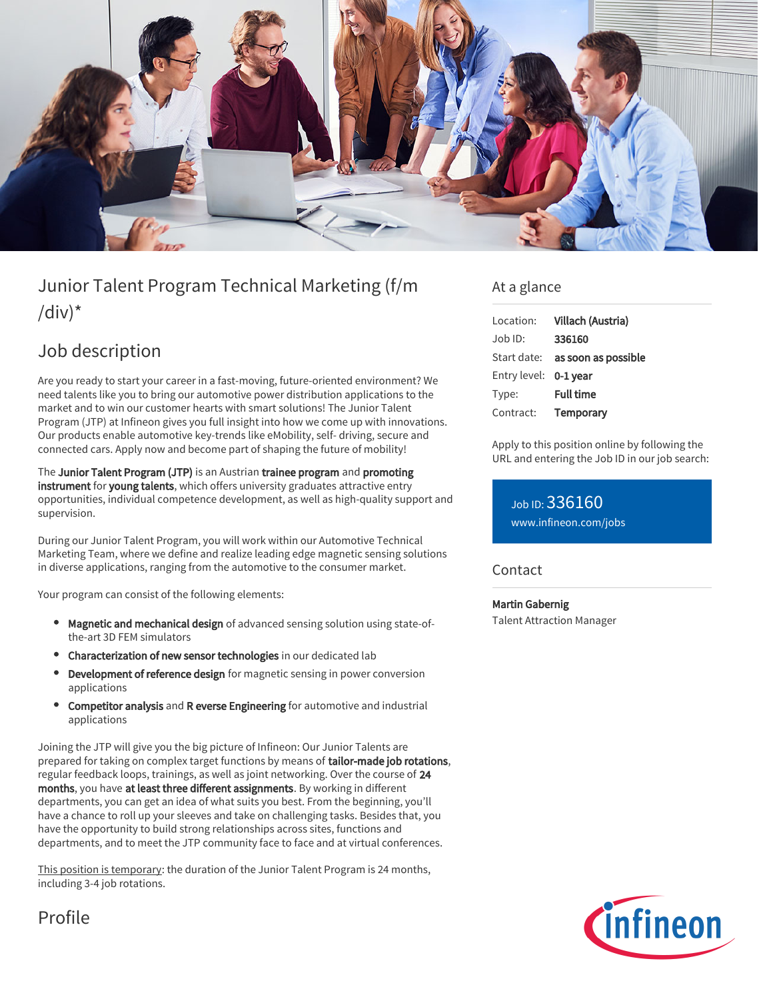

# Junior Talent Program Technical Marketing (f/m  $\frac{1}{d}$

## Job description

Are you ready to start your career in a fast-moving, future-oriented environment? We need talents like you to bring our automotive power distribution applications to the market and to win our customer hearts with smart solutions! The Junior Talent Program (JTP) at Infineon gives you full insight into how we come up with innovations. Our products enable automotive key-trends like eMobility, self- driving, secure and connected cars. Apply now and become part of shaping the future of mobility!

The Junior Talent Program (JTP) is an Austrian trainee program and promoting instrument for young talents, which offers university graduates attractive entry opportunities, individual competence development, as well as high-quality support and supervision.

During our Junior Talent Program, you will work within our Automotive Technical Marketing Team, where we define and realize leading edge magnetic sensing solutions in diverse applications, ranging from the automotive to the consumer market.

Your program can consist of the following elements:

- Magnetic and mechanical design of advanced sensing solution using state-ofthe-art 3D FEM simulators
- Characterization of new sensor technologies in our dedicated lab
- Development of reference design for magnetic sensing in power conversion applications
- Competitor analysis and R everse Engineering for automotive and industrial applications

Joining the JTP will give you the big picture of Infineon: Our Junior Talents are prepared for taking on complex target functions by means of tailor-made job rotations, regular feedback loops, trainings, as well as joint networking. Over the course of 24 months, you have at least three different assignments. By working in different departments, you can get an idea of what suits you best. From the beginning, you'll have a chance to roll up your sleeves and take on challenging tasks. Besides that, you have the opportunity to build strong relationships across sites, functions and departments, and to meet the JTP community face to face and at virtual conferences.

This position is temporary: the duration of the Junior Talent Program is 24 months, including 3-4 job rotations.

### At a glance

| Location:    | Villach (Austria)   |
|--------------|---------------------|
| Job ID:      | 336160              |
| Start date:  | as soon as possible |
| Entry level: | 0-1 vear            |
| Type:        | <b>Full time</b>    |
| Contract:    | Temporary           |

Apply to this position online by following the URL and entering the Job ID in our job search:

Job ID: 336160 [www.infineon.com/jobs](https://www.infineon.com/jobs)

### **Contact**

Martin Gabernig Talent Attraction Manager



Profile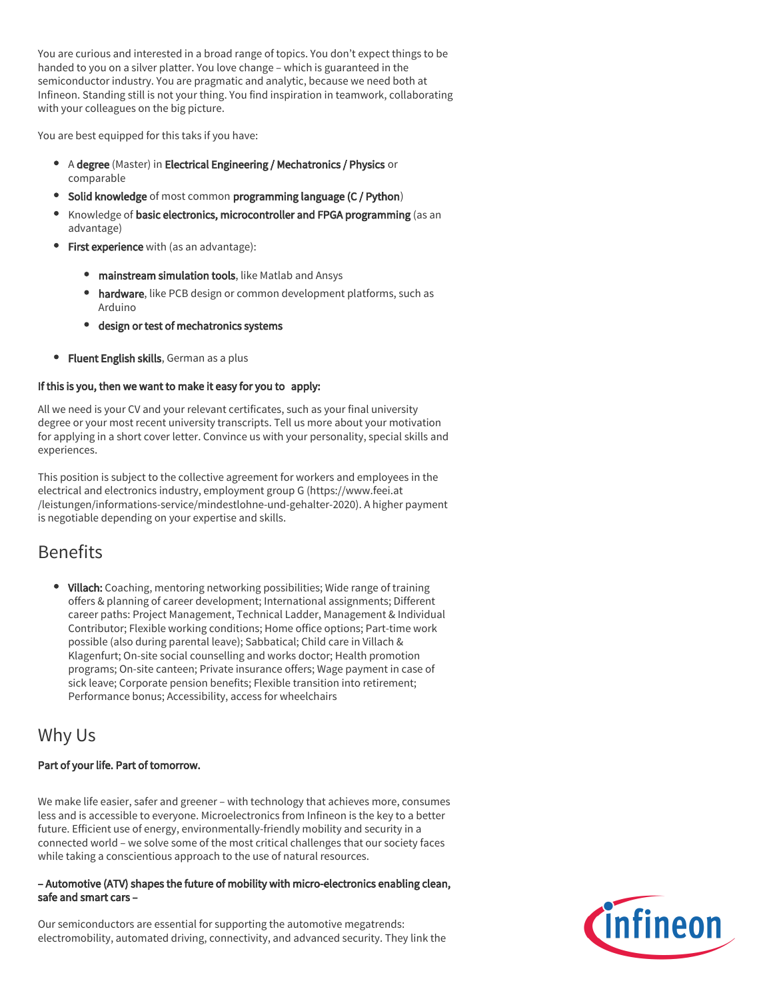You are curious and interested in a broad range of topics. You don't expect things to be handed to you on a silver platter. You love change – which is guaranteed in the semiconductor industry. You are pragmatic and analytic, because we need both at Infineon. Standing still is not your thing. You find inspiration in teamwork, collaborating with your colleagues on the big picture.

You are best equipped for this taks if you have:

- A degree (Master) in Electrical Engineering / Mechatronics / Physics or comparable
- Solid knowledge of most common programming language (C / Python)
- Knowledge of basic electronics, microcontroller and FPGA programming (as an advantage)
- **First experience** with (as an advantage):
	- **mainstream simulation tools**, like Matlab and Ansys
	- hardware, like PCB design or common development platforms, such as Arduino
	- design or test of mechatronics systems
- **Fluent English skills**, German as a plus

### If this is you, then we want to make it easy for you to apply:

All we need is your CV and your relevant certificates, such as your final university degree or your most recent university transcripts. Tell us more about your motivation for applying in a short cover letter. Convince us with your personality, special skills and experiences.

This position is subject to the collective agreement for workers and employees in the electrical and electronics industry, employment group G (https://www.feei.at /leistungen/informations-service/mindestlohne-und-gehalter-2020). A higher payment is negotiable depending on your expertise and skills.

## **Benefits**

• Villach: Coaching, mentoring networking possibilities; Wide range of training offers & planning of career development; International assignments; Different career paths: Project Management, Technical Ladder, Management & Individual Contributor; Flexible working conditions; Home office options; Part-time work possible (also during parental leave); Sabbatical; Child care in Villach & Klagenfurt; On-site social counselling and works doctor; Health promotion programs; On-site canteen; Private insurance offers; Wage payment in case of sick leave; Corporate pension benefits; Flexible transition into retirement; Performance bonus; Accessibility, access for wheelchairs

## Why Us

### Part of your life. Part of tomorrow.

We make life easier, safer and greener – with technology that achieves more, consumes less and is accessible to everyone. Microelectronics from Infineon is the key to a better future. Efficient use of energy, environmentally-friendly mobility and security in a connected world – we solve some of the most critical challenges that our society faces while taking a conscientious approach to the use of natural resources.

#### – Automotive (ATV) shapes the future of mobility with micro-electronics enabling clean, safe and smart cars –

Our semiconductors are essential for supporting the automotive megatrends: electromobility, automated driving, connectivity, and advanced security. They link the